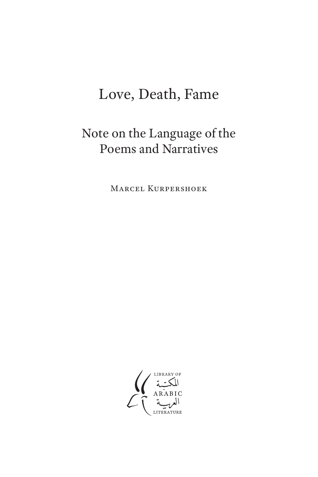# Love, Death, Fame

## Note on the Language of the Poems and Narratives

Marcel Kurpershoek

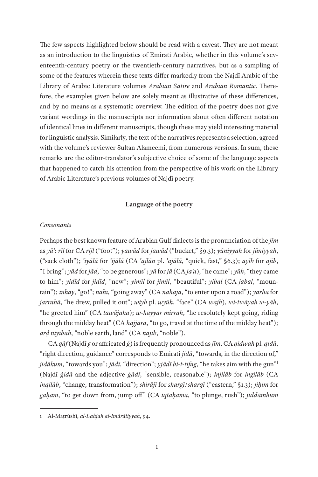The few aspects highlighted below should be read with a caveat. They are not meant as an introduction to the linguistics of Emirati Arabic, whether in this volume's seventeenth-century poetry or the twentieth-century narratives, but as a sampling of some of the features wherein these texts differ markedly from the Najdī Arabic of the Library of Arabic Literature volumes *Arabian Satire* and *Arabian Romantic*. Therefore, the examples given below are solely meant as illustrative of these differences, and by no means as a systematic overview. The edition of the poetry does not give variant wordings in the manuscripts nor information about often different notation of identical lines in different manuscripts, though these may yield interesting material for linguistic analysis. Similarly, the text of the narratives represents a selection, agreed with the volume's reviewer Sultan Alameemi, from numerous versions. In sum, these remarks are the editor-translator's subjective choice of some of the language aspects that happened to catch his attention from the perspective of his work on the Library of Arabic Literature's previous volumes of Najdī poetry.

## **Language of the poetry**

#### *Consonants*

Perhaps the best known feature of Arabian Gulf dialects is the pronunciation of the *jīm* as *yāʾ*: *rīl* for CA *rijl* ("foot"); *yawād* for *jawād* ("bucket," §9.3); *yūniyyah* for *jūniyyah*, ("sack cloth"); *ʿiyālā* for *ʿijālā* (CA *ʿajlān* pl. *ʿajālā*, "quick, fast," §6.3); *ayīb* for *ajīb*, "I bring"; *yād* for *jād*, "to be generous"; *yā* for *jā* (CA *jaʾa*), "he came"; *yūh*, "they came to him"; *yidīd* for *jidīd*, "new"; *yimīl* for *jimīl*, "beautiful"; *yibal* (CA *jabal*, "mountain"); *inhay*, "go!"; *nāhī*, "going away" (CA *nahaja*, "to enter upon a road"); *yarhā* for *jarrahā*, "he drew, pulled it out"; *wiyh* pl. *wyūh*, "face" (CA *wajh*), *wi-twāyah w-yāh*, "he greeted him" (CA *tawājaha*); *w-hayyar mirrah*, "he resolutely kept going, riding through the midday heat" (CA *hajjara*, "to go, travel at the time of the midday heat"); *arḍ niyībah*, "noble earth, land" (CA *najīb*, "noble").

CA *qāf* (Najdī *g* or affricated *ǵ*) is frequently pronounced as *jīm*. CA *qidwah* pl. *qidā*, "right direction, guidance" corresponds to Emirati *jidā*, "towards, in the direction of," *jidākum*, "towards you"; *jādī*, "direction"; *yjādī bi-t-tifag*, "he takes aim with the gun"<sup>1</sup> (Najdī *ǵidā* and the adjective *ǵādī*, "sensible, reasonable"); *injilāb* for *ingilāb* (CA *inqilāb*, "change, transformation"); *shirājī* for *shargī*/*sharqī* ("eastern," §1.3); *jiḥim* for *gaḥam*, "to get down from, jump off " (CA *iqtaḥama*, "to plunge, rush"); *jiddāmhum*

<sup>1</sup> Al-Maṭrūshī, *al-Lahjah al-Imārātiyyah*, 94.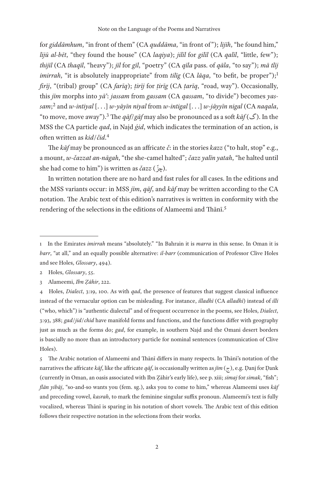for *giddāmhum*, "in front of them" (CA *quddāma*, "in front of "); *lijīh*, "he found him," *lijū al-bēt*, "they found the house" (CA *laqiya*); *jilīl* for *gilīl* (CA *qalīl*, "little, few"); *thijīl* (CA *thaqīl*, "heavy"); *jīl* for *gīl*, "poetry" (CA *qīla* pass. of *qāla*, "to say"); *mā tlīj imirrah*, "it is absolutely inappropriate" from *tilig* (CA *lāqa*, "to befit, be proper");<sup>1</sup> *firīj*, "(tribal) group" (CA *farīq*); *ṭirīj* for *ṭirīg* (CA *ṭarīq*, "road, way"). Occasionally, this *jīm* morphs into *yāʾ*: *jassam* from *gassam* (CA *qassam*, "to divide") becomes *yassam*; 2 and *w-intiyal* [. . .] *w-yāyīn niyal* from *w-intigal* [. . .] *w-jāyyīn nigal* (CA *naqala*, "to move, move away").3 The *qāf*/*gāf* may also be pronounced as a soft *kāf* (گ(. In the MSS the CA particle *qad*, in Najd *ǵid*, which indicates the termination of an action, is often written as *kid*/*čid*. 4

The *kāf* may be pronounced as an affricate *č*: in the stories *kazz* ("to halt, stop" e.g., a mount, *w-čazzat an-nāgah*, "the she-camel halted"; *čazz yalīn yatah*, "he halted until she had come to him") is written as *čazz* ( ّ .(چز

In written notation there are no hard and fast rules for all cases. In the editions and the MSS variants occur: in MSS *jīm*, *qāf*, and *kāf* may be written according to the CA notation. The Arabic text of this edition's narratives is written in conformity with the rendering of the selections in the editions of Alameemi and Thānī.<sup>5</sup>

5 The Arabic notation of Alameemi and Thānī differs in many respects. In Thānī's notation of the narratives the affricate  $k\bar{a}f$ , like the affricate  $q\bar{a}f$ , is occasionally written as  $j\bar{t}m$  ( $\tau$ ), e.g. Danj for Dank (currently in Oman, an oasis associated with Ibn Ẓāhir's early life), see p. xiii; *simaj* for *simak*, "fish"; *flān yibāj*, "so-and-so wants you (fem. sg.), asks you to come to him," whereas Alameemi uses *kāf* and preceding vowel, *kasrah*, to mark the feminine singular suffix pronoun. Alameemi's text is fully vocalized, whereas Thānī is sparing in his notation of short vowels. The Arabic text of this edition follows their respective notation in the selections from their works.

<sup>1</sup> In the Emirates *imirrah* means "absolutely." "In Bahrain it is *marra* in this sense. In Oman it is *barr*, "at all," and an equally possible alternative: *il-barr* (communication of Professor Clive Holes and see Holes, *Glossary*, 494).

<sup>2</sup> Holes, *Glossary*, 55.

<sup>3</sup> Alameemi, *Ibn Ẓāhir*, 222.

<sup>4</sup> Holes, *Dialect*, 3:19, 100. As with *qad*, the presence of features that suggest classical influence instead of the vernacular option can be misleading. For instance, *illadhī* (CA *alladhī*) instead of *illi* ("who, which") is "authentic dialectal" and of frequent occurrence in the poems, see Holes, *Dialect*, 3:93, 388; *gad*/*jid*/*chid* have manifold forms and functions, and the functions differ with geography just as much as the forms do; *gad*, for example, in southern Najd and the Omani desert borders is bascially no more than an introductory particle for nominal sentences (communication of Clive Holes).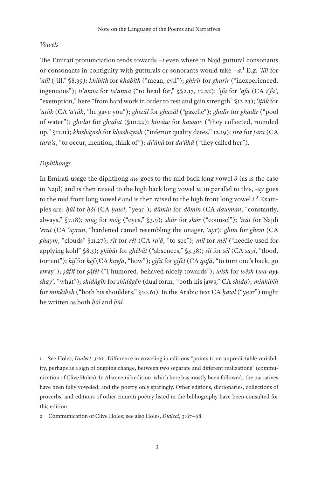## *Vowels*

The Emirati pronunciation tends towards *–i* even where in Najd guttural consonants or consonants in contiguity with gutturals or sonorants would take *–a*. 1 E.g. *ʿilīl* for *ʿalīl* ("ill," §8.39); *khibīth* for *khabīth* ("mean, evil"); *ghirīr* for *gharīr* ("inexperienced, ingenuous"); *tiʿannā* for *taʿannā* ("to head for," §§2.17, 12.22); *ʿifā* for *ʿafā* (CA *iʿfāʾ*, "exemption," here "from hard work in order to rest and gain strength" §12.23); *ʿiṭāk* for *ʿaṭāk* (CA *ʾaʿṭāk*, "he gave you"); *ghizāl* for *ghazāl* ("gazelle"); *ghidīr* for *ghadīr* ("pool of water"); *ghidat* for *ghadat* (§10.22); *ḥiwāw* for *ḥawaw* ("they collected, rounded up," §11.11); *khishāyish* for *khashāyish* ("inferior quality dates," 12.19); *ṭirā* for *ṭarā* (CA *taraʾa*, "to occur, mention, think of "); *diʿūhā* for *daʿūhā* ("they called her").

## *Diphthongs*

In Emirati usage the diphthong *aw* goes to the mid back long vowel  $\bar{o}$  (as is the case in Najd) and is then raised to the high back long vowel *ū*; in parallel to this, *-ay* goes to the mid front long vowel  $\bar{e}$  and is then raised to the high front long vowel  $\bar{\iota}^2$  Examples are: *ḥūl* for *ḥōl* (CA *ḥawl*, "year"); *dūmin* for *dōmin* (CA *dawman*, "constantly, always," §7.18); *mūg* for *mōg* ("eyes," §3.9); *shūr* for *shōr* ("counsel"); *ʿīrāt* for Najdī *ʿērāt* (CA *ʿayrān*, "hardened camel resembling the onager, *ʿayr*); *ghīm* for *ghēm* (CA *ghaym*, "clouds" §11.27); *rīt* for *rēt* (CA *raʾā*, "to see"); *mīl* for *mēl* ("needle used for applying kohl" §8.3); *ghībāt* for *ghēbāt* ("absences," §5.38); *sīl* for *sēl* (CA *sayl*, "flood, torrent"); *kīf* for *kēf* (CA *kayfa*, "how"); *gifīt* for *gifēt* (CA *qafā*, "to turn one's back, go away"); *ṣāfīt* for *ṣāfēt* ("I humored, behaved nicely towards"); *wīsh* for *wēsh* (*wa-ayy shayʾ*, "what"); *shidāgīh* for *shidāgēh* (dual form, "both his jaws," CA *shidq*); *minkibīh* for *minkibēh* ("both his shoulders," §10.61). In the Arabic text CA *ḥawl* ("year") might be written as both *ḥōl* and *ḥūl*.

<sup>1</sup> See Holes, *Dialect*, 3:66. Difference in voweling in editions "points to an unpredictable variability, perhaps as a sign of ongoing change, between two separate and different realizations" (communication of Clive Holes). In Alameemi's edition, which here has mostly been followed, the narratives have been fully voweled, and the poetry only sparingly. Other editions, dictionaries, collections of proverbs, and editions of other Emirati poetry listed in the bibliography have been consulted for this edition.

<sup>2</sup> Communication of Clive Holes; see also Holes, *Dialect*, 3:67–68.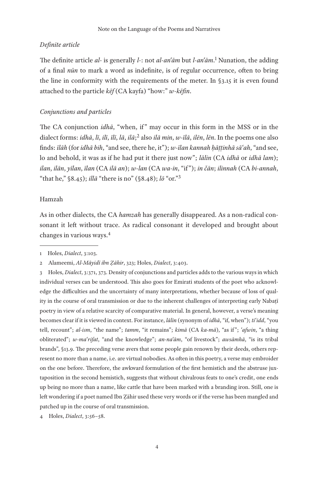## *Definite article*

The definite article *al-* is generally *l-*: not *al-anʿām* but *l-anʿām*. 1 Nunation, the adding of a final *nūn* to mark a word as indefinite, is of regular occurrence, often to bring the line in conformity with the requirements of the meter. In §3.15 it is even found attached to the particle *kēf* (CA kayfa) "how:" *w-kēfin*.

#### *Conjunctions and particles*

The CA conjunction *idhā*, "when, if" may occur in this form in the MSS or in the dialect forms: *idhā*, *lī*, *ilī*, *īlī*, *lā*, *ilā*; 2 also *ilā min*, *w-īlā*, *ilēn*, *lēn*. In the poems one also finds: *īlāh* (for *idhā bih*, "and see, there he, it"); *w-īlan kannah ḥāṭṭinhā sāʿah*, "and see, lo and behold, it was as if he had put it there just now"; *lālin* (CA *idhā* or *idhā lam*); *ilan*, *ilān*, *yīlan*, *īlan* (CA *ilā an*); *w-lan* (CA *wa-in*, "if "); *in čān*; *ilinnah* (CA *bi-annah*, "that he," §8.45); *illā* "there is no" (§8.48); *lō* "or."3

## Hamzah

As in other dialects, the CA *hamzah* has generally disappeared. As a non-radical consonant it left without trace. As radical consonant it developed and brought about changes in various ways.4

4 Holes, *Dialect*, 3:56–58.

<sup>1</sup> Holes, *Dialect*, 3:103.

<sup>2</sup> Alameemi, *Al-Māyidī ibn Ẓāhir*, 323; Holes, *Dialect*, 3:403.

<sup>3</sup> Holes, *Dialect*, 3:371, 373. Density of conjunctions and particles adds to the various ways in which individual verses can be understood. This also goes for Emirati students of the poet who acknowledge the difficulties and the uncertainty of many interpretations, whether because of loss of quality in the course of oral transmission or due to the inherent challenges of interpreting early Nabatī poetry in view of a relative scarcity of comparative material. In general, however, a verse's meaning becomes clear if it is viewed in context. For instance, *lālin* (synonym of *idhā*, "if, when"); *tiʿidd*, "you tell, recount"; *al-ism*, "the name"; *tamm*, "it remains"; *kimā* (CA *ka-mā*), "as if "; *ʿafwin*, "a thing obliterated"; *w-maʿrifat*, "and the knowledge"; *an-naʿām*, "of livestock"; *awsāmhā*, "is its tribal brands", §13.9. The preceding verse avers that some people gain renown by their deeds, others represent no more than a name, i.e. are virtual nobodies. As often in this poetry, a verse may embroider on the one before. Therefore, the awkward formulation of the first hemistich and the abstruse juxtaposition in the second hemistich, suggests that without chivalrous feats to one's credit, one ends up being no more than a name, like cattle that have been marked with a branding iron. Still, one is left wondering if a poet named Ibn Ẓāhir used these very words or if the verse has been mangled and patched up in the course of oral transmission.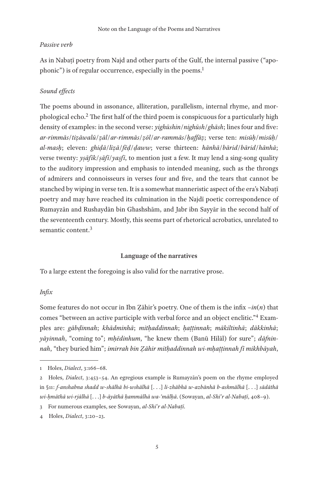#### *Passive verb*

As in Nabaṭī poetry from Najd and other parts of the Gulf, the internal passive ("apophonic") is of regular occurrence, especially in the poems.<sup>1</sup>

## *Sound effects*

The poems abound in assonance, alliteration, parallelism, internal rhyme, and morphological echo.2 The first half of the third poem is conspicuous for a particularly high density of examples: in the second verse: *yighūshin*/*nighūsh*/*ghāsh*; lines four and five: *ar-rimmās*/*tiẓāwalū*/*ẓāl*/*ar-rimmās*/*ẓōl*/*ar-rammās*/*ḥaffāẓ*; verse ten: *misūḥ*/*misūḥ*/ *al-masḥ*; eleven: *ghiḍā*/*liẓā*/*fēḍ*/*ḍaww*; verse thirteen: *hānhā*/*bārid*/*bārid*/*hānhā*; verse twenty: *yṣāfīk*/*ṣāfī*/*yaṣfī*, to mention just a few. It may lend a sing-song quality to the auditory impression and emphasis to intended meaning, such as the throngs of admirers and connoisseurs in verses four and five, and the tears that cannot be stanched by wiping in verse ten. It is a somewhat manneristic aspect of the era's Nabaṭī poetry and may have reached its culmination in the Najdī poetic correspondence of Rumayzān and Rushaydān bin Ghashshām, and Jabr ibn Sayyār in the second half of the seventeenth century. Mostly, this seems part of rhetorical acrobatics, unrelated to semantic content.<sup>3</sup>

#### **Language of the narratives**

To a large extent the foregoing is also valid for the narrative prose.

## *Infix*

Some features do not occur in Ibn Ẓāhir's poetry. One of them is the infix *–in*(*n*) that comes "between an active participle with verbal force and an object enclitic."4 Examples are: *gābḍinnah*; *khādminhā*; *mitḥaddinnah*; *ḥaṭṭinnah*; *mākiltinhā*; *dākkinhā*; *yāyinnah*, "coming to"; *mḥēdinhum*, "he knew them (Banū Hilāl) for sure"; *dāfninnah*, "they buried him"; *imirrah bin Ẓāhir mitḥaddinnah wi-mḥaṭṭinnah fī mikhbāyah*,

<sup>1</sup> Holes, *Dialect*, 3:166–68.

<sup>2</sup> Holes, *Dialect*, 3:453–54. An egregious example is Rumayzān's poem on the rhyme employed in §11: *f-anshabna shadd w-shālhā bi-wshālhā* [. . .] *li-zhābhā w-azbānhā b-ashmālhā* [. . .] *sādāthā wi-ḥmāthā wi-rjālhā* [. . .] *b-āyāthā ḥammālhā wa-'mālḥā*. (Sowayan, *al-Shiʿr al-Nabaṭī*, 408–9).

<sup>3</sup> For numerous examples, see Sowayan, *al-Shiʿr al-Nabaṭī*.

<sup>4</sup> Holes, *Dialect*, 3:20–23.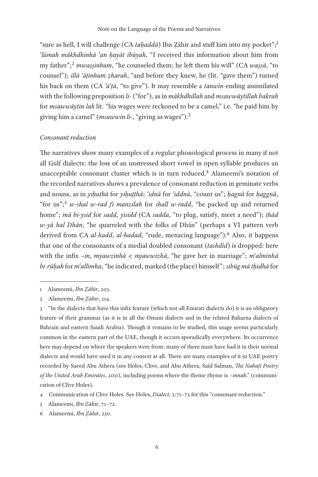"sure as hell, I will challenge (CA *taḥaddā*) Ibn Ẓāhir and stuff him into my pocket";<sup>1</sup> *ʿlūmah mākhdhinhā ʿan ḥayāt ibūyah*, "I received this information about him from my father";2 *mwaṣṣinhum*, "he counseled them; he left them his will" (CA *waṣṣā*, "to counsel"); *illā ʿāṭinhum ẓharah*, "and before they knew, he (lit. "gave them") turned his back on them (CA *ʾaʿṭā*, "to give"). It may resemble a *tanwīn*-ending assimilated with the following preposition *li-* ("for"), as in *mākhdhillah* and *msawwāytillah bakrah* for *msawwāytin lah* lit. "his wages were reckoned to be a camel," i.e. "he paid him by giving him a camel" (*msawwin li*-, "giving as wages").<sup>3</sup>

#### *Consonant reduction*

The narratives show many examples of a regular phonological process in many if not all Gulf dialects: the loss of an unstressed short vowel in open syllable produces an unacceptable consonant cluster which is in turn reduced.4 Alameemi's notation of the recorded narratives shows a prevalence of consonant reduction in geminate verbs and nouns, as in *yiḥuṭhā* for *yiḥuṭṭhā*; *ʿidnā* for *ʿiddnā*, "count us"; *ḥagnā* for *ḥaggnā*, "for us";<sup>5</sup> *w-shal w-rad fī manzilah* for *shall w-radd*, "he packed up and returned home"; *mā bi-ysid* for *sadd*, *yisidd* (CA *sadda*, "to plug, satisfy, meet a need"); *thād w-yā hal Dhān*, "he quarreled with the folks of Dhān" (perhaps a VI pattern verb derived from CA *al-hadd*, *al-hadad*, "rude, menacing language").6 Also, it happens that one of the consonants of a medial doubled consonant (*tashdīd*) is dropped: here with the infix *–in*, *myawzinhā* < *mjawwizhā*, "he gave her in marriage"; *mʿalminhā bi-rūḥah* for *mʿallimha*, "he indicated, marked (the place) himself "; *sibūg mā tḥidhā* for

<sup>1</sup> Alameemi, *Ibn Ẓāhir*, 203.

<sup>2</sup> Alameemi, *Ibn Ẓāhir*, 214.

<sup>3</sup> "In the dialects that have this infix feature (which not all Emirati dialects do) it is an obligatory feature of their grammar (as it is in all the Omani dialects and in the related Baharna dialects of Bahrain and eastern Saudi Arabia). Though it remains to be studied, this usage seems particularly common in the eastern part of the UAE, though it occurs sporadically everywhere. Its occurrence here may depend on where the speakers were from: many of them must have had it in their normal dialects and would have used it in any context at all. There are many examples of it in UAE poetry recorded by Saeed Abu Athera (see Holes, Clive, and Abu Athera, Said Salman, *The Nabaṭī Poetry of the United Arab Emirates*, 2011), including poems where the theme rhyme is *–innah*." (communication of Clive Holes).

<sup>4</sup> Communication of Clive Holes. See Holes, *Dialect*, 3:71–72 for this "consonant reduction."

<sup>5</sup> Alameemi, *Ibn Ẓāhir*, 71–72.

<sup>6</sup> Alameemi, *Ibn Ẓāhir*, 230.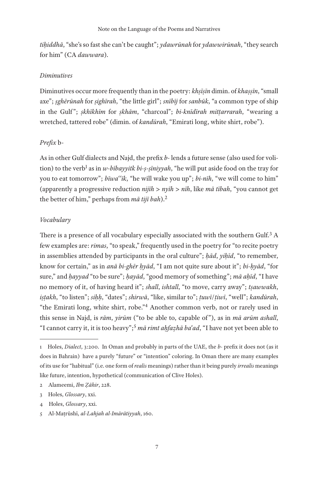*tiḥiddhā*, "she's so fast she can't be caught"; *ydawrūnah* for *ydawwirūnah*, "they search for him" (CA *dawwara*).

#### *Diminutives*

Diminutives occur more frequently than in the poetry: *khṣīṣīn* dimin. of *khaṣṣīn*, "small axe"; *ṣghērūnah* for *ṣighīrah*, "the little girl"; *snībīj* for *sanbūk*, "a common type of ship in the Gulf "; *ṣkhīkhīm* for *ṣkhām*, "charcoal"; *bi-knīdīrah mitṭarrarah*, "wearing a wretched, tattered robe" (dimin. of *kandūrah*, "Emirati long, white shirt, robe").

## *Prefix* b-

As in other Gulf dialects and Najd, the prefix *b-* lends a future sense (also used for volition) to the verb<sup>1</sup> as in *w-bībayyitk bi-ṣ-ṣīniyyah*, "he will put aside food on the tray for you to eat tomorrow"; *bīwaʿʿīk*, "he will wake you up"; *bi-nīh*, "we will come to him" (apparently a progressive reduction *nijīh* > *nyīh* > *nīh*, like *mā tībah*, "you cannot get the better of him," perhaps from *mā tijī bah*).2

## *Vocabulary*

There is a presence of all vocabulary especially associated with the southern Gulf.<sup>3</sup> A few examples are: *rimas*, "to speak," frequently used in the poetry for "to recite poetry in assemblies attended by participants in the oral culture"; *ḥād*, *yiḥīd*, "to remember, know for certain," as in *anā bi-ghēr ḥyād*, "I am not quite sure about it"; *bi-ḥyād*, "for sure," and *ḥayyad* "to be sure"; *ḥayād*, "good memory of something"; *mā aḥīd*, "I have no memory of it, of having heard it"; *shall*, *ishtall*, "to move, carry away"; *tṣawwakh*, *iṣṭakh*, "to listen"; *siḥḥ*, "dates"; *shirwā*, "like, similar to"; *ṭuwī*/*ṭiwī*, "well"; *kandūrah*, "the Emirati long, white shirt, robe."4 Another common verb, not or rarely used in this sense in Najd, is *rām*, *yirūm* ("to be able to, capable of "), as in *mā arūm ashall*, "I cannot carry it, it is too heavy";5 *mā rimt aḥfaẓhā baʿad*, "I have not yet been able to

<sup>1</sup> Holes, *Dialect*, 3:200. In Oman and probably in parts of the UAE, the *b-* prefix it does not (as it does in Bahrain) have a purely "future" or "intention" coloring. In Oman there are many examples of its use for "habitual" (i.e. one form of *realis* meanings) rather than it being purely *irrealis* meanings like future, intention, hypothetical (communication of Clive Holes).

<sup>2</sup> Alameemi, *Ibn Ẓāhir*, 228.

<sup>3</sup> Holes, *Glossary*, xxi.

<sup>4</sup> Holes, *Glossary*, xxi.

<sup>5</sup> Al-Maṭrūshī, *al-Lahjah al-Imārātiyyah*, 160.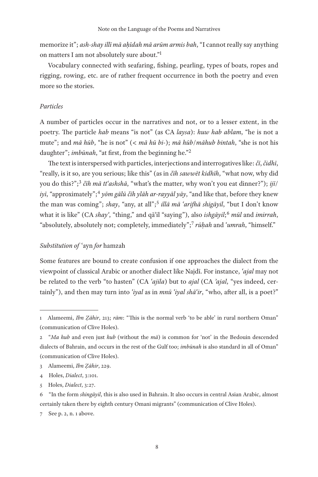memorize it"; *ash-shay illī mā aḥīdah mā arūm armis bah*, "I cannot really say anything on matters I am not absolutely sure about."1

Vocabulary connected with seafaring, fishing, pearling, types of boats, ropes and rigging, rowing, etc. are of rather frequent occurrence in both the poetry and even more so the stories.

## *Particles*

A number of particles occur in the narratives and not, or to a lesser extent, in the poetry. The particle *hab* means "is not" (as CA *laysa*): *huw hab ablam*, "he is not a mute"; and *mā hūb*, "he is not" (< *mā hū bi*-); *mā hūb*/*māhub bintah*, "she is not his daughter"; *imbūnah*, "at first, from the beginning he."2

The text is interspersed with particles, interjections and interrogatives like: *čī*, *čidhī*, "really, is it so, are you serious; like this" (as in *čīh sawwēt kidhīh*, "what now, why did you do this?";<sup>3</sup> *čīh mā ttʿashshā*, "what's the matter, why won't you eat dinner?"); *ijī*/ *iyī*, "approximately";4 *yōm gālū čīh ylāh ar-rayyāl yāy*, "and like that, before they knew the man was coming"; *shay*, "any, at all";5 *illā mā ʿarifhā shigāyil*, "but I don't know what it is like" (CA *shayʾ*, "thing," and qāʾil "saying"), also *ishgāyil*; <sup>6</sup> *mūl* and *imirrah*, "absolutely, absolutely not; completely, immediately";7 *rūḥah* and *ʿumrah*, "himself."

## *Substitution of* ʿayn *for* hamzah

Some features are bound to create confusion if one approaches the dialect from the viewpoint of classical Arabic or another dialect like Najdī. For instance, *ʿajal* may not be related to the verb "to hasten" (CA *ʿajila*) but to *ajal* (CA *ʾajal*, "yes indeed, certainly"), and then may turn into *ʿiyal* as in *mnū ʿiyal shāʿir*, "who, after all, is a poet?"

<sup>1</sup> Alameemi, *Ibn Ẓāhir*, 213; *rām*: "This is the normal verb 'to be able' in rural northern Oman" (communication of Clive Holes).

<sup>2</sup> "*Ma hub* and even just *hub* (without the *mā*) is common for 'not' in the Bedouin descended dialects of Bahrain, and occurs in the rest of the Gulf too; *imbūnah* is also standard in all of Oman" (communication of Clive Holes).

<sup>3</sup> Alameemi, *Ibn Ẓāhir*, 229.

<sup>4</sup> Holes, *Dialect*, 3:101.

<sup>5</sup> Holes, *Dialect*, 3:27.

<sup>6</sup> "In the form *shingāyil*, this is also used in Bahrain. It also occurs in central Asian Arabic, almost certainly taken there by eighth century Omani migrants" (communication of Clive Holes).

<sup>7</sup> See p. 2, n. 1 above.